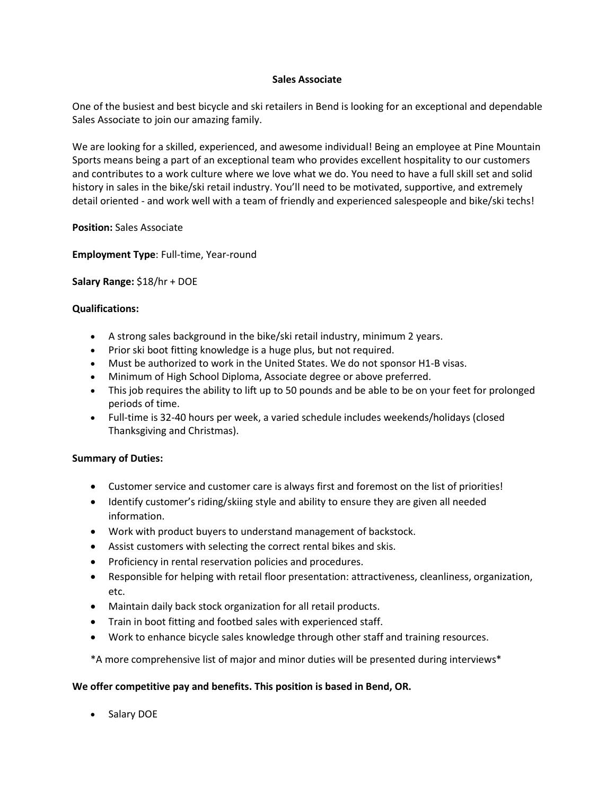## **Sales Associate**

One of the busiest and best bicycle and ski retailers in Bend is looking for an exceptional and dependable Sales Associate to join our amazing family.

We are looking for a skilled, experienced, and awesome individual! Being an employee at Pine Mountain Sports means being a part of an exceptional team who provides excellent hospitality to our customers and contributes to a work culture where we love what we do. You need to have a full skill set and solid history in sales in the bike/ski retail industry. You'll need to be motivated, supportive, and extremely detail oriented - and work well with a team of friendly and experienced salespeople and bike/ski techs!

**Position:** Sales Associate

**Employment Type**: Full-time, Year-round

**Salary Range:** \$18/hr + DOE

## **Qualifications:**

- A strong sales background in the bike/ski retail industry, minimum 2 years.
- Prior ski boot fitting knowledge is a huge plus, but not required.
- Must be authorized to work in the United States. We do not sponsor H1-B visas.
- Minimum of High School Diploma, Associate degree or above preferred.
- This job requires the ability to lift up to 50 pounds and be able to be on your feet for prolonged periods of time.
- Full-time is 32-40 hours per week, a varied schedule includes weekends/holidays (closed Thanksgiving and Christmas).

## **Summary of Duties:**

- Customer service and customer care is always first and foremost on the list of priorities!
- Identify customer's riding/skiing style and ability to ensure they are given all needed information.
- Work with product buyers to understand management of backstock.
- Assist customers with selecting the correct rental bikes and skis.
- Proficiency in rental reservation policies and procedures.
- Responsible for helping with retail floor presentation: attractiveness, cleanliness, organization, etc.
- Maintain daily back stock organization for all retail products.
- Train in boot fitting and footbed sales with experienced staff.
- Work to enhance bicycle sales knowledge through other staff and training resources.

\*A more comprehensive list of major and minor duties will be presented during interviews\*

## **We offer competitive pay and benefits. This position is based in Bend, OR.**

• Salary DOE